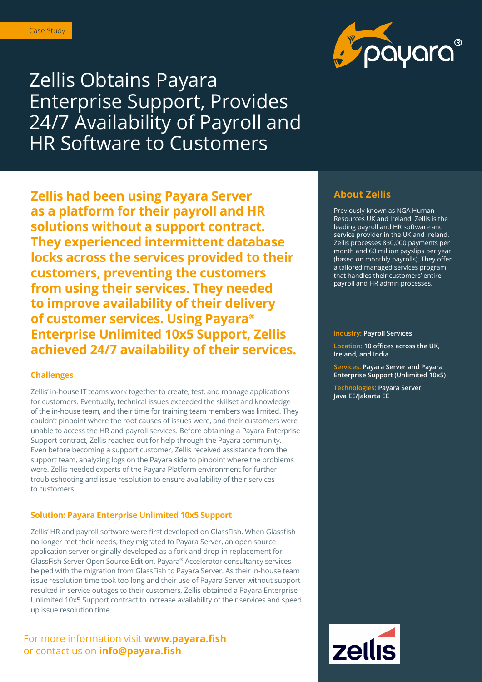

Zellis Obtains Payara Enterprise Support, Provides 24/7 Availability of Payroll and HR Software to Customers

**Zellis had been using Payara Server as a platform for their payroll and HR solutions without a support contract. They experienced intermittent database locks across the services provided to their customers, preventing the customers from using their services. They needed to improve availability of their delivery of customer services. Using Payara® Enterprise Unlimited 10x5 Support, Zellis achieved 24/7 availability of their services.** 

### **Challenges**

Zellis' in-house IT teams work together to create, test, and manage applications for customers. Eventually, technical issues exceeded the skillset and knowledge of the in-house team, and their time for training team members was limited. They couldn't pinpoint where the root causes of issues were, and their customers were unable to access the HR and payroll services. Before obtaining a Payara Enterprise Support contract, Zellis reached out for help through the Payara community. Even before becoming a support customer, Zellis received assistance from the support team, analyzing logs on the Payara side to pinpoint where the problems were. Zellis needed experts of the Payara Platform environment for further troubleshooting and issue resolution to ensure availability of their services to customers.

#### **Solution: Payara Enterprise Unlimited 10x5 Support**

Zellis' HR and payroll software were first developed on GlassFish. When Glassfish no longer met their needs, they migrated to Payara Server, an open source application server originally developed as a fork and drop-in replacement for GlassFish Server Open Source Edition. Payara® Accelerator consultancy services helped with the migration from GlassFish to Payara Server. As their in-house team issue resolution time took too long and their use of Payara Server without support resulted in service outages to their customers, Zellis obtained a Payara Enterprise Unlimited 10x5 Support contract to increase availability of their services and speed up issue resolution time.

## For more information visit **www.payara.fish**  or contact us on **info@payara.fish**

## **About Zellis**

Previously known as NGA Human Resources UK and Ireland, Zellis is the leading payroll and HR software and service provider in the UK and Ireland. Zellis processes 830,000 payments per month and 60 million payslips per year (based on monthly payrolls). They offer a tailored managed services program that handles their customers' entire payroll and HR admin processes.

#### **Industry: Payroll Services**

**Location: 10 offices across the UK, Ireland, and India**

**Services: Payara Server and Payara Enterprise Support (Unlimited 10x5)**

**Technologies: Payara Server, Java EE/Jakarta EE**